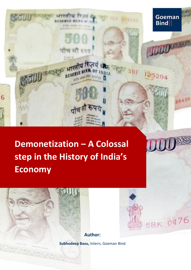

# **Demonetization – A Colossal step in the History of India's Economy**



**Author:**

5BK 0476

**Subhodeep Basu,** Intern, Goeman Bind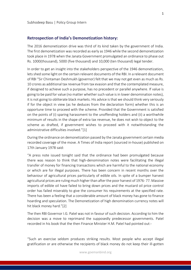#### **Retrospection of India's Demonetization history:**

The 2016 demonetization drive was third of its kind taken by the government of India. The first demonetization was recorded as early as 1946 while the second demonetization took place in 1978 when the Janata Government promulgated an ordinance to phase out Rs. 1000(thousand), 5000 (five thousand) and 10,000 (ten thousand) legal tender.

In order to get an insight into the stakeholders perspective of the 1946 demonetization, lets shed some light on the certain relevant documents of the RBI. In a relevant document of RBI "Sir Chintaman Deshmukh (governor) felt that we may not get even as much as Rs. 10 crores as additional tax revenue from tax evasion and that the contemplated measure, if designed to achieve such a purpose, has no precedent or parallel anywhere. If value is going to be paid for value (no matter whether such value is in lower denomination notes), it is not going to obliterate black markets. His advice is that we should think very seriously if for the object in view (as he deduces from the declaration form) whether this is an opportune time to proceed with the scheme. Provided that the Government is satisfied on the points of (i) sparing harassment to the unoffending holders and (ii) a worthwhile minimum of results in the shape of extra tax revenue, he does not wish to object to the scheme as drafted, if government wishes to proceed with it notwithstanding the administrative difficulties involved."[1]

During the ordinance on demonetization passed by the Janata government certain media recorded coverage of the move. A Times of India report (sourced in-house) published on 17th January 1978 said:

"A press note issued tonight said that the ordinance had been promulgated because there was reason to think that high-denomination notes were facilitating the illegal transfer of money for financing transactions which are harmful to the national economy or which are for illegal purposes. There has been concern in recent months over the behaviour of agricultural prices particularly of edible oils. In spite of a bumper harvest agricultural prices are ruling much higher than after the poor harvest of 1976- 77. Massive imports of edible oil have failed to bring down prices and the mustard oil price control order has failed miserably to give the consumer his requirements at the specified rate. There has been a feeling that a considerable amount of black money has gone to finance hoarding and speculation. The Demonetization of high denomination currency notes will hit black money hard."[2]

The then RBI Governor I.G. Patel was not in favour of such decision. According to him the decision was a move to reprimand the supposedly predecessor governments. Patel recorded in his book that the then Finance Minister H.M. Patel had pointed out:-

"Such an exercise seldom produces striking results. Most people who accept illegal gratification or are otherwise the recipients of black money do not keep their ill-gotten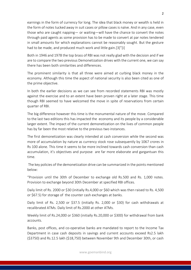earnings in the form of currency for long. The idea that black money or wealth is held in the form of notes tucked away in suit cases or pillow cases is naïve. And in any case, even those who are caught napping— or waiting—will have the chance to convert the notes through paid agents as some provision has to be made to convert at par notes tendered in small amounts for which explanations cannot be reasonably sought. But the gesture had to be made, and produced much work and little gain.[3]"[i]

Both in 1946 and 1978 the top brass of RBI was not really glad with the decision and if we are to compare the two previous Demonetization drives with the current one, we can say there has been both similarities and differences.

The prominent similarity is that all three were aimed at curbing black money in the economy. Although this time the aspect of national security is also been cited as one of the prime objective.

In both the earlier decisions as we can see from recorded statements RBI was mostly against the exercise and to an extent have been proven right at a later stage. This time though RBI seemed to have welcomed the move in spite of reservations from certain quarter of RBI.

The big difference however this time is the monumental nature of the move. Compared to the last two editions this has impacted the economy and its people by a considerable larger extent. The impact of the current demonetization on the lives of common people has by far been the most relative to the previous two instances.

The first demonetization was clearly intended at cash conversion while the second was more of accumulation by nature as currency stock rose subsequently by 1067 crores in Rs 100 alone. This time it seems to be more inclined towards cash conversion than cash accumulation, it's objectives and purpose are far more elaborate and gargantuan this time.

The key policies of the demonetization drive can be summarized in the points mentioned below:

"Provision until the 30th of December to exchange old Rs.500 and Rs. 1,000 notes. Provision to exchange beyond 30th December at specified RBI offices.

Daily limit of Rs. 2000 or \$30 (initially Rs.4,000 or \$60 which was then raised to Rs. 4,500 or \$67.5) for storage of the counter cash exchanges at banks.

Daily limit of Rs. 2,500 or \$37.5 (initially Rs. 2,000 or \$30) for cash withdrawals at recalibrated ATMs. Daily limit of Rs.2000 at other ATMs.

Weekly limit of Rs.24,000 or \$360 (initially Rs.20,000 or \$300) for withdrawal from bank accounts.

Banks, post offices, and co-operative banks are mandated to report to the Income Tax Department in case cash deposits in savings and current accounts exceed Rs2.5 lakh (\$3750) and Rs.12.5 lakh (\$18,750) between November 9th and December 30th, or cash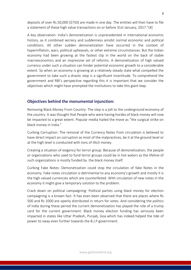deposits of over Rs.50,000 (\$750) are made in one day. The entities will then have to file a statement of these high value transactions on or before 31st January, 2017."[4]

A key observation: India's demonetization is unprecedented in international economic history, as it combined secrecy and suddenness amidst normal economic and political conditions. All other sudden demonetization have occurred in the context of hyperinflation, wars, political upheavals, or other extreme circumstances. But the Indian economy had been growing at the fastest clip in the world on the back of stable macroeconomics and an impressive set of reforms. A demonetization of high valued currency under such a situation can hinder potential economic growth to a considerable extent. So when an economy is growing at a relatively steady state what compelled the government to take such a drastic step is a significant incertitude. To comprehend the government and RBI's perspective regarding this it is important that we consider the objectives which might have prompted the institutions to take this giant leap.

### **Objectives behind the monumental injunction:**

Removing Black Money From Country: The step is a jolt to the underground economy of the country. It was thought that People who were having hordes of black money will now be impacted to a great extent. Popular media hailed the move as "the surgical strike on black money in India."

Curbing Corruption: The removal of the Currency Notes from circulation is believed to have direct impact on corruption as most of the malpractices, be it at the ground level or at the high level is conducted with tons of illicit money.

Creating a situation of exigency for terror group: Because of demonetization, the people or organizations who used to fund terror groups could be in hot waters as the lifeline of such organizations is mostly funded by the black money itself.

Curbing Fake Notes: Demonetization could stop the circulation of fake Notes in the economy. Fake notes circulation is detrimental to any economy's growth and mostly it is the high valued currencies which are counterfeited. With circulation of new notes in the economy it might give a temporary solution to the problem.

Crack down on political campaigning: Political parties using black money for election campaigning is a known fact. It has even been observed that there are places where Rs 500 and Rs 1000 are openly distributed in return for votes. And considering the politics of India during these period the current demonetization has played the role of a trump card for the current government. Black money election funding has seriously been impacted in states like Uttar Pradesh, Punjab, Goa which has indeed helped the tide of power to sway even further towards the B.J.P government.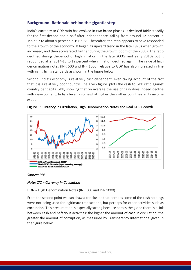#### **Background: Rationale behind the gigantic step:**

India's currency to GDP ratio has evolved in two broad phases. It declined fairly steadily for the first decade and a half after Independence, falling from around 12 percent in 1952-53 to about 9 percent in 1967-68. Thereafter, the ratio appears to have responded to the growth of the economy. It began its upward trend in the late 1970s when growth increased, and then accelerated further during the growth boom of the 2000s. The ratio declined during theperiod of high inflation in the late 2000s and early 2010s but it rebounded after 2014-15 to 12 percent when inflation declined again. The value of high denomination notes (INR 500 and INR 1000) relative to GDP has also increased in line with rising living standards as shown in the figure below.

Second, India's economy is relatively cash-dependent, even taking account of the fact that it is a relatively poor country. The given figure plots the cash to GDP ratio against country per capita GDP, showing that on average the use of cash does indeed decline with development, India's level is somewhat higher than other countries in its income group.



Figure 1: Currency in Circulation, High Denomination Notes and Real GDP Growth.

#### *Source: RBI*

#### *Note: CIC = Currency in Circulation*

HDN = High Denomination Notes (INR 500 and INR 1000)

From the second point we can draw a conclusion that perhaps some of the cash holdings were not being used for legitimate transactions, but perhaps for other activities such as corruption. This presumption is especially strong because across the globe there is a link between cash and nefarious activities: the higher the amount of cash in circulation, the greater the amount of corruption, as measured by Transparency International given in the figure below.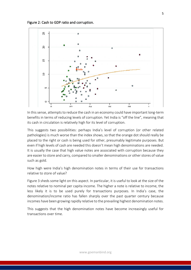Figure 2: Cash to GDP ratio and corruption.



In this sense, attempts to reduce the cash in an economy could have important long-term benefits in terms of reducing levels of corruption. Yet India is "off the line", meaning that its cash in circulation is relatively high for its level of corruption.

This suggests two possibilities: perhaps India's level of corruption (or other related pathologies) is much worse than the index shows, so that the orange dot should really be placed to the right or cash is being used for other, presumably legitimate purposes. But even if high levels of cash are needed this doesn't mean high denominations are needed. It is usually the case that high value notes are associated with corruption because they are easier to store and carry, compared to smaller denominations or other stores of value such as gold.

How high were India's high denomination notes in terms of their use for transactions relative to store of value?

Figure 3 sheds some light on this aspect. In particular, it is useful to look at the size of the notes relative to nominal per capita income. The higher a note is relative to income, the less likely it is to be used purely for transactions purposes. In India's case, the denomination/income ratio has fallen sharply over the past quarter century because incomes have been growing rapidly relative to the prevailing highest denomination notes.

This suggests that the high denomination notes have become increasingly useful for transactions over time.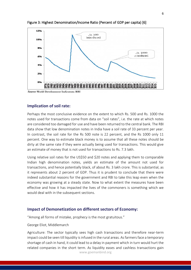

#### Figure 3: Highest Denomination/Income Ratio (Percent of GDP per capita) [6]

## **Implication of soil rate:**

Perhaps the most conclusive evidence on the extent to which Rs. 500 and Rs. 1000 the notes used for transactions come from data on "soil rates", i.e. the rate at which notes are considered too damaged for use and have been returned to the central bank. The RBI data show that low denomination notes in India have a soil rate of 33 percent per year. In contrast, the soil rate for the Rs 500 note is 22 percent, and the Rs 1000 only 11 percent. One way to estimate black money is to assume that all these notes should be dirty at the same rate if they were actually being used for transactions. This would give an estimate of money that is not used for transactions to Rs. 7.3 lakh.

Using relative soil rates for the US\$50 and \$20 notes and applying them to comparable Indian high denomination notes, yields an estimate of the amount not used for transactions, and hence potentially black, of about Rs. 3 lakh crore. This is substantial, as it represents about 2 percent of GDP. Thus it is prudent to conclude that there were indeed substantial reasons for the government and RBI to take this leap even when the economy was growing at a steady state. Now to what extent the measures have been effective and how it has impacted the lives of the commoners is something which we would deal with in the subsequent sections.

### **Impact of Demonetization on different sectors of Economy:**

"Among all forms of mistake, prophecy is the most gratuitous."

George Eliot, Middlemarch

www.goemanbind.org Agriculture: The sector typically sees high cash transactions and therefore near-term impact could be seen till liquidity is infused in the rural areas. As farmers face a temporary shortage of cash in hand, it could lead to a delay in payment which in turn would hurt the related companies in the short term. As liquidity eases and cashless transactions gain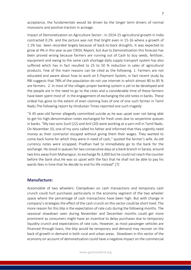acceptance, the fundamentals would be driven by the longer term drivers of normal monsoons and positive traction in acreage.

Impact of Demonetization on Agriculture Sector:- In 2014-15 agricultural growth in India contracted 0.2% and the picture was not that bright even in 15-16 where a growth of 1.1% has been recorded largely because of back-to-back droughts. It was expected to grow at 4% in this year as per CRISIL Report, but due to Demonetization this forecast has been proved wrong because farmers are running out of Cash to buy seeds, fertilizer, equipment and owing to the same cash shortage daily supply transport system has also suffered which has in fact resulted to 25 to 50 % reduction in sales of agricultural products. Few of the main reasons can be cited as the following. 1. Farmers are not educated and aware about how to work on E-Payment System, in fact recent study by RBI suggests that 78% of the population do not use internet in which almost 80 to 85 % are farmers. 2. In most of the villages proper banking system is yet to be developed and the people are in the need to go to the cities and a considerable time of these farmers have been spent most of in the engagement of exchanging the old notes in banks. These ordeal has gone to the extent of even claiming lives of one of one such farmer in Tamil Nadu.The following report by Hindustan Times reported one such tragedy:

"A 45-year-old farmer allegedly committed suicide as he was upset over not being able to get his high-denomination notes exchanged for fresh ones due to serpentine queues in banks. "My two sons Sunil (22) and Anil (20) were working at a yarn mill in Tamil Nadu. On November 10, one of my sons called his father and informed that they urgently need money as their contractor escaped without giving them their wages. They wanted to come back home for which they were in need of cash," quoted the farmer's wife. As old currency notes were scrapped, Pradhan had to immediately go to the bank for the exchange. He stood in queues for two consecutive days at a bank branch in Saraia, around two kms away from Maharajpur, to exchange Rs 3,000 but he could not reach the counter before the bank shut.He was so upset with the fact that he shall not be able to pay his wards fees in time that he decide to end his life instead".[7]

#### **Manufacture:**

Automobile of two wheelers: Clampdown on cash transactions and temporary cash crunch could hurt purchases particularly in the economy segment of the two wheeler space where the percentage of cash transactions have been high. But with change in company's strategies the effect of the cash crunch on this sector could be short lived. The more reason for this blip is the expectation of rate cuts during the following months. The seasonal slowdown seen during November and December months could get more prominent as consumers might have an incentive to delay purchases due to temporary liquidity crunch and expectations of rate cuts. However, as most passenger vehicles are financed through loans, the blip would be temporary and demand may recover on the back of growth in demand in both rural and urban areas. Slowdown in this sector of the economy on account of demonetization could have a negative impact on the commercial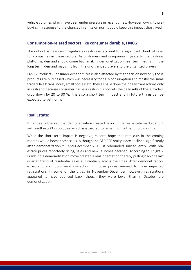vehicle volumes which have been under pressure in recent times. However, owing to prebuying in response to the changes in emission norms could keep this impact short lived.

#### **Consumption-related sectors like consumer durable, FMCG:**

The outlook is near-term negative as cash sales account for a significant chunk of sales for companies in these sectors. As customers and companies migrate to the cashless platforms, demand should come back making demonetization near term neutral. In the long term, demand may shift from the unorganized players to the organized players.

FMCG Products:-Consumer expenditures is also affected by that decision now only those products are purchased which was necessary for daily consumption and mostly the small traders like kirana store', small bodies' etc. they all have done their daily transactions only in cash and because consumer has less cash in his pockets the daily sells of these traders drop down by 20 to 30 %. It is also a short term impact and in future things can be expected to get normal.

#### **Real Estate:**

It has been observed that demonetization created havoc in the real estate market and it will result in 50% drop down which is expected to remain for further 5 to 6 months.

While the short-term impact is negative, experts hope that rate cuts in the coming months would boost home sales. Although the S&P BSE realty index declined significantly after demonetization till end-December 2016, it rebounded subsequently. With real estate prices reportedly rising, sales and new launches declined. According to Knight 7 Frank India demonetization move created a real indentation thereby pulling back the last quarter trend of residential sales substantially across the cities. After demonetization, expectations of downward correction in house prices seemed to have impacted registrations in some of the cities in November-December however, registrations appeared to have bounced back, though they were lower than in October pre demonetization.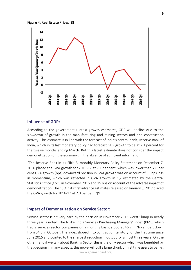#### Figure 4: Real Estate Prices [8]



#### **Influence of GDP:**

According to the government's latest growth estimates, GDP will decline due to the slowdown of growth in the manufacturing and mining sectors and also construction activity. This estimate is in line with the forecast of India's central bank, Reserve Bank of India, which in its last monetary policy had forecast GDP growth to be at 7.1 percent for the twelve months ending March. But this latest estimate does not consider the impact demonetization on the economy, in the absence of sufficient information.

"The Reserve Bank in its Fifth Bi-monthly Monetary Policy Statement on December 7, 2016 placed the GVA growth for 2016-17 at 7.1 per cent, which was lower than 7.6 per cent GVA growth (bps) downward revision in GVA growth was on account of 35 bps loss in momentum, which was reflected in GVA growth in Q2 estimated by the Central Statistics Office (CSO) in November 2016 and 15 bps on account of the adverse impact of demonetization. The CSO in its first advance estimates released on January 6, 2017 placed the GVA growth for 2016-17 at 7.0 per cent."[9]

#### **Impact of Demonetization on Service Sector:**

www.goemanbind.org Service sector is hit very hard by the decision in November 2016 worst Slump in nearly three year is noted. The Nikkei India Services Purchasing Managers' Index (PMI), which tracks services sector companies on a monthly basis, stood at 46.7 in November, down from 54.5 in October. The Index slipped into contraction territory for the first time since June 2015 and pointed to the sharpest reduction in output for almost three years. On the other hand if we talk about Banking Sector this is the only sector which was benefited by that decision in many aspects, this move will pull a large chunk of first time users to banks,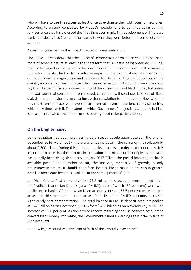who will have to use the system at least once to exchange their old notes for new ones. According to a study conducted by Moody's, people tend to continue using banking services once they have crossed the 'first-time user' mark. This development will increase bank deposits by 1 to 2 percent compared to what they were before the demonetization scheme.

A concluding remark on the impacts caused by demonetization:

The above analysis shows that the impact of Demonetization on Indian economy has been more of adverse nature at least in the short term that is what is being observed. GDP has slightly decreased as compared to the previous year but we cannot say it will be same in future too. The step had profound adverse impact on the two most important sectors of our country-namely agriculture and service sector. As far routing corruption out of the country is concerned, well to judge it from an extreme optimistic point of view one could say this intervention is a one-time draining of this current stock of black money but unless the root causes of corruption are removed, corruption will continue. It is sort of like a dialysis, more of a short term cleaning up than a solution to the problem. Now whether this short term impacts will have similar aftermath even in the long run is something which only time can tell. The extent to which Government's objectives would be fulfilled is an aspect for which the people of this country need to be patient about.

## **On the brighter side:**

Demonetization has been progressing at a steady acceleration between the end of December 2016-March 2017, there was a net increase in the currency in circulation by about 2,600 billion. During this period, deposits at banks also declined moderately. It is important to note that the currency in circulation in terms of number of pieces and value has steadily been rising since early January 2017."Given the partial information that is available post Demonetization so far, the analysis, especially of growth, is only preliminary in nature. It should, therefore, be possible to make an analysis in greater detail as more data becomes available in the coming months".[10]

Jan Dhan Yojana: Post-demonetization, 23.3 million new accounts were opened under the Pradhan Mantri Jan Dhan Yojana (PMJDY), bulk of which (80 per cent) were with public sector banks. Of the new Jan Dhan accounts opened, 53.6 per cent were in urban areas and 46.4 per cent in rural areas. Deposits under PMJDY accounts increased significantly post demonetization. The total balance in PMJDY deposit accounts peaked at ` 746 billion as on December 7, 2016 from ` 456 billion as on November 9, 2016 – an increase of 63.6 per cent. As there were reports regarding the use of these accounts to convert black money into white, the Government issued a warning against the misuse of such accounts.

But how legally sound was this leap of faith of the Central Government?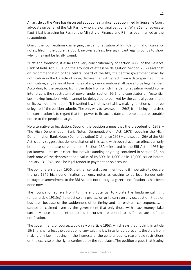An article by the Wire has discussed about one significant petition filed by Supreme Court advocate on behalf of the Adil Rashid who is the original petitioner. While Senior advocate Kapil Sibal is arguing for Rashid, the Ministry of Finance and RBI has been named as the respondents.

One of the four petitions challenging the demonetization of high-denomination currency notes, filed in the Supreme Court, invokes at least five significant legal grounds to show why it may not be legally sound.

"First and foremost, it assails the very constitutionality of section 26(2) of the Reserve Bank of India Act, 1934, on the grounds of excessive delegation. Section 26(2) says that on recommendation of the central board of the RBI, the central government may, by notification in the Gazette of India, declare that with effect from a date specified in the notification, any series of bank notes of any denomination shall cease to be legal tender. According to the petition, fixing the date from which the demonetization would come into force is the substratum of power under section 26(2) and constitutes an "essential law making function" which cannot be delegated to be fixed by the central government on its own determination. "It is settled law that essential law making function cannot be delegated," the petition submits. The only way to save section 26(2) from being ultra vires the constitution is to regard that the power to fix such a date contemplates a reasonable notice to the people at large.

No alternative to legislation: Second, the petition argues that the precedent of 1978 – The High Denomination Bank Notes (Demonetization) Act, 1978 repealing the High Denomination Bank Notes (Demonetization) Ordinance 1978 – and section 26A of the RBI Act, clearly suggest that demonetization of this scale with such draconian effect can only be done by a statute of parliament. Section 26A – inserted in the RBI Act in 1956 by parliament – makes it clear that notwithstanding anything contained in section 26, no bank note of the denominational value of Rs 500, Rs 1,000 or Rs 10,000 issued before January 13, 1946, shall be legal tender in payment or on account.

The point here is that in 1956, the then central government found it imperative to declare the pre-1946 high denomination currency notes as ceasing to be legal tender only through an amendment to the RBI Act and not through a gazette notification as has been done now.

The notification suffers from its inherent potential to violate the fundamental right (under article  $19(1)(g)$ ) to practice any profession or to carry on any occupation, trade or business, because of the suddenness of its timing and its resultant consequences. It cannot be claimed even by the government that only those with black money, fake currency notes or an intent to aid terrorism are bound to suffer because of the notification.

The government, of course, would rely on article 19(6), which says that nothing in article  $19(1)(g)$  shall affect the operation of any existing law in so far as it prevents the state from making any law imposing, in the interests of the general public, reasonable restrictions on the exercise of the rights conferred by the sub-clause.The petition argues that issuing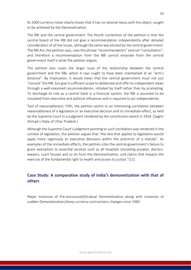Rs 2000 currency notes clearly shows that it has no rational nexus with the object, sought to be achieved by the Demonetization.

The RBI and the central government: The fourth contention of the petition is that the central board of the RBI did not give a recommendation independently after detailed consideration of all the issues, although the same was elicited by the central government. The RBI Act, the petition says, uses the phrase "recommendation" and not "consultation", and therefore a recommendation from the RBI cannot emanate from the central government itself is what the petition argues.

The petition also raises the larger issue of the relationship between the central government and the RBI, which it says ought to have been maintained at an "arm's distance". By implication, it would mean that the central government must not just "consult" the RBI, but give it sufficient scope to deliberate and offer its independent views through a well-reasoned recommendation, initiated by itself rather than by prompting. To discharge its role as a central bank in a financial system, the RBI is assumed to be insulated from executive and political influences and is required to act independently.

Test of reasonableness: Fifth, the petition points to an interesting correlation between reasonableness of a legislation or an executive decision and its immediate effect, as held by the Supreme Court in a judgment rendered by the constitution bench in 1954. (Saghir Ahmad v State of Uttar Pradesh.)

Although the Supreme Court's judgment pointing to such correlation was rendered in the context of legislation, the petition argues that "the test that applies to legislation would apply more vigorously to executive decisions within the precincts of a statute". As examples of the immediate effects, the petition cites the central government's failure to grant exemption to essential services such as all hospitals (including private), doctors, lawyers, court houses and so on from the Demonetization, and claims that impacts the exercise of the fundamental right to health and access to justice."[11]

## **Case Study: A comparative study of India's demonetization with that of others**

Major instances of Pre-announced/Gradual Demonetization along with instances of sudden Demonetization/sharp currency contractions changes since 1982: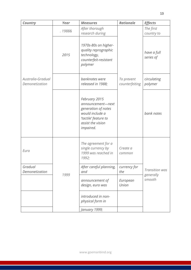| <b>Country</b>                      | Year   | <b>Measures</b>                                                                                                                        | <b>Rationale</b>             | <b>Effects</b>              |
|-------------------------------------|--------|----------------------------------------------------------------------------------------------------------------------------------------|------------------------------|-----------------------------|
|                                     | .1988& | After thorough<br>research during                                                                                                      |                              | The first<br>country to     |
|                                     | 2015   | 1970s-80s on higher-<br>quality reprographic<br>technology,<br>counterfeit-resistant<br>polymer                                        |                              | have a full<br>series of    |
| Australia-Gradual<br>Demonetization |        | banknotes were<br>released in 1988;                                                                                                    | To prevent<br>counterfeiting | circulating<br>polymer      |
|                                     |        | February 2015<br>announcement-next<br>generation of notes<br>would include a<br>'tactile' feature to<br>assist the vision<br>impaired. |                              | bank notes                  |
| Euro                                |        | The agreement for a<br>single currency by<br>1999 was reached in<br>1992;                                                              | Create a<br>common           |                             |
| Gradual<br>Demonetization           | 1999   | After careful planning,<br>and                                                                                                         | currency for<br>the          | Transition was<br>generally |
|                                     |        | announcement of<br>design, euro was                                                                                                    | European<br>Union            | smooth                      |
|                                     |        | introduced in non-<br>physical form in                                                                                                 |                              |                             |
|                                     |        | January 1999;                                                                                                                          |                              |                             |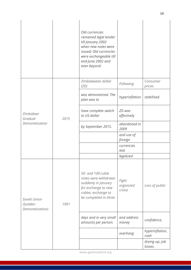|                                            |      | Old currencies<br>remained legal tender<br>till January 2002<br>when new notes were<br>issued; Old currencies<br>were exchangeable till<br>end-June 2002 and<br>even beyond. |                             |                           |
|--------------------------------------------|------|------------------------------------------------------------------------------------------------------------------------------------------------------------------------------|-----------------------------|---------------------------|
| Zimbabwe<br>Gradual<br>Demonetization      | 2015 | Zimbabwean dollar<br>(ZD)                                                                                                                                                    | Following                   | Consumer<br>prices        |
|                                            |      | was demonetized. The<br>plan was to                                                                                                                                          | hyperinflation              | stabilised.               |
|                                            |      | have complete switch<br>to US dollar                                                                                                                                         | ZD was<br>effectively       |                           |
|                                            |      | by September 2015.                                                                                                                                                           | abandoned in<br>2009        |                           |
|                                            |      |                                                                                                                                                                              | and use of<br>foreign       |                           |
|                                            |      |                                                                                                                                                                              | currencies<br>was           |                           |
|                                            |      |                                                                                                                                                                              | legalized                   |                           |
| Soviet Union<br>(Sudden<br>Demonetization) | 1991 | 50- and 100-ruble<br>notes were withdrawn<br>suddenly in January<br>for exchange to new<br>rubles; exchange to<br>be completed in three                                      | Fight<br>organized<br>crime | Loss of public            |
|                                            |      | days and in very small<br>amounts per person.                                                                                                                                | and address<br>money        | confidence,               |
|                                            |      |                                                                                                                                                                              | overhang                    | hyperinflation,<br>cash   |
|                                            |      |                                                                                                                                                                              |                             | drying up, job<br>losses. |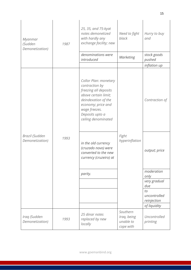| Myanmar<br>(Sudden<br>Demonetization) | 1987 | 25, 35, and 75-kyat<br>notes demonetized<br>with hardly any<br>exchange facility; new                                                                                                            | Need to fight<br>black                            | Hurry to buy<br>and               |
|---------------------------------------|------|--------------------------------------------------------------------------------------------------------------------------------------------------------------------------------------------------|---------------------------------------------------|-----------------------------------|
|                                       |      | denominations were<br>introduced                                                                                                                                                                 | <b>Marketing</b>                                  | stock goods<br>pushed             |
|                                       |      |                                                                                                                                                                                                  |                                                   | inflation up                      |
| Brazil (Sudden<br>Demonetization)     | 1993 | Collor Plan: monetary<br>contraction by<br>freezing all deposits<br>above certain limit;<br>deindexation of the<br>economy; price and<br>wage freezes.<br>Deposits upto a<br>ceiling denominated | Fight<br>hyperinflation                           | Contraction of                    |
|                                       |      | in the old currency<br>(cruzado novo) were<br>converted to the new<br>currency (cruzeiro) at                                                                                                     |                                                   | output; price                     |
|                                       |      | parity.                                                                                                                                                                                          |                                                   | moderation<br>only                |
|                                       |      |                                                                                                                                                                                                  |                                                   | very gradual<br>due               |
|                                       |      |                                                                                                                                                                                                  |                                                   | to<br>uncontrolled<br>reinjection |
|                                       |      |                                                                                                                                                                                                  |                                                   | of liquidity                      |
| Iraq (Sudden<br>Demonetization)       | 1993 | 25 dinar notes<br>replaced by new<br>locally                                                                                                                                                     | Southern<br>Iraq, being<br>unable to<br>cope with | Uncontrolled<br>printing          |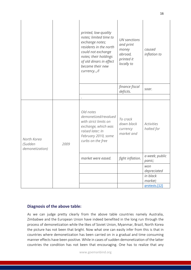|                                           |      | printed, low-quality<br>notes; limited time to<br>exchange notes;<br>residents in the north<br>could not exchange<br>notes; their holdings<br>of old dinars in effect<br>became their new<br>currency,/l | <b>UN</b> sanctions<br>and print<br>money<br>abroad,<br>printed it<br>locally to | caused<br>inflation to          |
|-------------------------------------------|------|----------------------------------------------------------------------------------------------------------------------------------------------------------------------------------------------------------|----------------------------------------------------------------------------------|---------------------------------|
|                                           |      |                                                                                                                                                                                                          | finance fiscal<br>deficits.                                                      | soar.                           |
|                                           |      |                                                                                                                                                                                                          |                                                                                  |                                 |
| North Korea<br>(Sudden<br>demonetization) | 2009 | Old notes<br>demonetized/revalued<br>with strict limits on<br>exchange, which was<br>raised later; In<br>February 2010, some<br>curbs on the free                                                        | To crack<br>down black<br>currency<br>market and                                 | <b>Activities</b><br>halted for |
|                                           |      | market were eased.                                                                                                                                                                                       | fight inflation.                                                                 | a week; public<br>panic;        |
|                                           |      |                                                                                                                                                                                                          |                                                                                  | won<br>depreciated              |
|                                           |      |                                                                                                                                                                                                          |                                                                                  | in black<br>market;             |
|                                           |      |                                                                                                                                                                                                          |                                                                                  | protests.[12]                   |

### **Diagnosis of the above table:**

As we can judge pretty clearly from the above table countries namely Australia, Zimbabwe and the European Union have indeed benefited in the long run through the process of demonetization while the likes of Soviet Union, Myanmar, Brazil, North Korea the picture has not been that bright. Now what one can easily infer from this is that in countries where demonetization has been carried on in a gradual and time consuming manner effects have been positive. While in cases of sudden demonetization of the latter countries the condition has not been that encouraging. One has to realize that any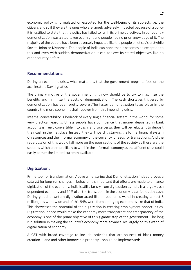economic policy is formulated or executed for the well-being of its subjects i.e. the citizens and so if they are the ones who are largely adversely impacted because of a policy it is justified to state that the policy has failed to fulfill its prime objectives. In our country demonetization was a step taken overnight and people had no prior knowledge of it. The majority of the people have been adversely impacted like the people of let say's erstwhile Soviet Union or Myanmar. The people of India can hope that it becomes an exception to this and even with sudden demonetization it can achieve its stated objectives like no other country before.

#### **Recommendations:**

During an economic crisis, what matters is that the government keeps its foot on the accelerator.-DavidIgnatius.

The primary motive of the government right now should be to try to maximize the benefits and minimize the costs of demonetization. The cash shortages triggered by demonetization has been pretty severe .The faster demonetization takes place in the country the more sooner it shall recover from this impending crisis.

Internal convertibility is bedrock of every single financial system in the world, for some very practical reasons. Unless people have confidence that money deposited in bank accounts is freely convertible into cash, and vice versa, they will be reluctant to deposit their cash in the first place. Instead, they will hoard it, starving the formal financial system of resources and the informal economy of the currency it needs for transactions. And the repercussion of this would fall more on the poor sections of the society as these are the sections which are more likely to work in the informal economy as the affluent class could easily corner the limited currency available.

### **Digitization:**

Prime tool for transformation: Above all, ensuring that Demonetization indeed proves a catalyst for long-run changes in behavior it is important that efforts are made to enhance digitization of the economy. India is still a far cry from digitization as India is a largely cash dependent economy and 94% of all the transaction in the economy is carried out by cash. During global downturn digitization acted like an economic wand in creating almost 6 million jobs worldwide and of this 94% were from emerging economies like that of India. This showcases the potential of the digitization in creating employment opportunities. Digitization indeed would make the economy more transparent and transparency of the economy is one of the prime objective of this gigantic step of the government. The long run solution in making the country's economy more advance lies largely on this wand of digitalization of economy.

A GST with broad coverage to include activities that are sources of black money creation—land and other immovable property—should be implemented;